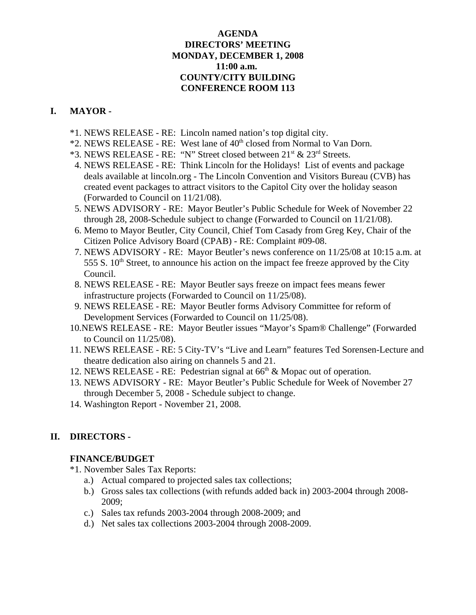## **AGENDA DIRECTORS' MEETING MONDAY, DECEMBER 1, 2008 11:00 a.m. COUNTY/CITY BUILDING CONFERENCE ROOM 113**

# **I. MAYOR -**

- \*1. NEWS RELEASE RE: Lincoln named nation's top digital city.
- \*2. NEWS RELEASE RE: West lane of  $40<sup>th</sup>$  closed from Normal to Van Dorn.
- \*3. NEWS RELEASE RE: "N" Street closed between  $21^{st}$  &  $23^{rd}$  Streets.
- 4. NEWS RELEASE RE: Think Lincoln for the Holidays! List of events and package deals available at lincoln.org - The Lincoln Convention and Visitors Bureau (CVB) has created event packages to attract visitors to the Capitol City over the holiday season (Forwarded to Council on 11/21/08).
- 5. NEWS ADVISORY RE: Mayor Beutler's Public Schedule for Week of November 22 through 28, 2008-Schedule subject to change (Forwarded to Council on 11/21/08).
- 6. Memo to Mayor Beutler, City Council, Chief Tom Casady from Greg Key, Chair of the Citizen Police Advisory Board (CPAB) - RE: Complaint #09-08.
- 7. NEWS ADVISORY RE: Mayor Beutler's news conference on 11/25/08 at 10:15 a.m. at 555 S.  $10<sup>th</sup>$  Street, to announce his action on the impact fee freeze approved by the City Council.
- 8. NEWS RELEASE RE: Mayor Beutler says freeze on impact fees means fewer infrastructure projects (Forwarded to Council on 11/25/08).
- 9. NEWS RELEASE RE: Mayor Beutler forms Advisory Committee for reform of Development Services (Forwarded to Council on 11/25/08).
- 10.NEWS RELEASE RE: Mayor Beutler issues "Mayor's Spam® Challenge" (Forwarded to Council on 11/25/08).
- 11. NEWS RELEASE RE: 5 City-TV's "Live and Learn" features Ted Sorensen-Lecture and theatre dedication also airing on channels 5 and 21.
- 12. NEWS RELEASE RE: Pedestrian signal at 66<sup>th</sup> & Mopac out of operation.
- 13. NEWS ADVISORY RE: Mayor Beutler's Public Schedule for Week of November 27 through December 5, 2008 - Schedule subject to change.
- 14. Washington Report November 21, 2008.

# **II. DIRECTORS -**

# **FINANCE/BUDGET**

- \*1. November Sales Tax Reports:
	- a.) Actual compared to projected sales tax collections;
	- b.) Gross sales tax collections (with refunds added back in) 2003-2004 through 2008- 2009;
	- c.) Sales tax refunds 2003-2004 through 2008-2009; and
	- d.) Net sales tax collections 2003-2004 through 2008-2009.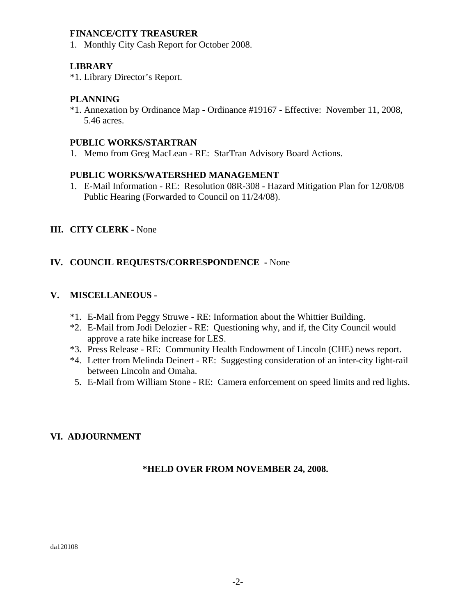## **FINANCE/CITY TREASURER**

1. Monthly City Cash Report for October 2008.

## **LIBRARY**

\*1. Library Director's Report.

## **PLANNING**

\*1. Annexation by Ordinance Map - Ordinance #19167 - Effective: November 11, 2008, 5.46 acres.

## **PUBLIC WORKS/STARTRAN**

1. Memo from Greg MacLean - RE: StarTran Advisory Board Actions.

## **PUBLIC WORKS/WATERSHED MANAGEMENT**

1. E-Mail Information - RE: Resolution 08R-308 - Hazard Mitigation Plan for 12/08/08 Public Hearing (Forwarded to Council on 11/24/08).

## **III. CITY CLERK -** None

## **IV. COUNCIL REQUESTS/CORRESPONDENCE -** None

# **V. MISCELLANEOUS -**

- \*1. E-Mail from Peggy Struwe RE: Information about the Whittier Building.
- \*2. E-Mail from Jodi Delozier RE: Questioning why, and if, the City Council would approve a rate hike increase for LES.
- \*3. Press Release RE: Community Health Endowment of Lincoln (CHE) news report.
- \*4. Letter from Melinda Deinert RE: Suggesting consideration of an inter-city light-rail between Lincoln and Omaha.
- 5. E-Mail from William Stone RE: Camera enforcement on speed limits and red lights.

# **VI. ADJOURNMENT**

## **\*HELD OVER FROM NOVEMBER 24, 2008.**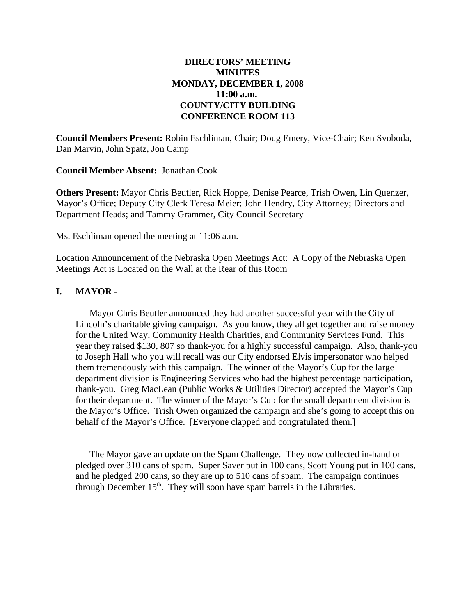## **DIRECTORS' MEETING MINUTES MONDAY, DECEMBER 1, 2008 11:00 a.m. COUNTY/CITY BUILDING CONFERENCE ROOM 113**

**Council Members Present:** Robin Eschliman, Chair; Doug Emery, Vice-Chair; Ken Svoboda, Dan Marvin, John Spatz, Jon Camp

**Council Member Absent:** Jonathan Cook

**Others Present:** Mayor Chris Beutler, Rick Hoppe, Denise Pearce, Trish Owen, Lin Quenzer, Mayor's Office; Deputy City Clerk Teresa Meier; John Hendry, City Attorney; Directors and Department Heads; and Tammy Grammer, City Council Secretary

Ms. Eschliman opened the meeting at 11:06 a.m.

Location Announcement of the Nebraska Open Meetings Act: A Copy of the Nebraska Open Meetings Act is Located on the Wall at the Rear of this Room

### **I. MAYOR -**

Mayor Chris Beutler announced they had another successful year with the City of Lincoln's charitable giving campaign. As you know, they all get together and raise money for the United Way, Community Health Charities, and Community Services Fund. This year they raised \$130, 807 so thank-you for a highly successful campaign. Also, thank-you to Joseph Hall who you will recall was our City endorsed Elvis impersonator who helped them tremendously with this campaign. The winner of the Mayor's Cup for the large department division is Engineering Services who had the highest percentage participation, thank-you. Greg MacLean (Public Works & Utilities Director) accepted the Mayor's Cup for their department. The winner of the Mayor's Cup for the small department division is the Mayor's Office. Trish Owen organized the campaign and she's going to accept this on behalf of the Mayor's Office. [Everyone clapped and congratulated them.]

The Mayor gave an update on the Spam Challenge. They now collected in-hand or pledged over 310 cans of spam. Super Saver put in 100 cans, Scott Young put in 100 cans, and he pledged 200 cans, so they are up to 510 cans of spam. The campaign continues through December  $15<sup>th</sup>$ . They will soon have spam barrels in the Libraries.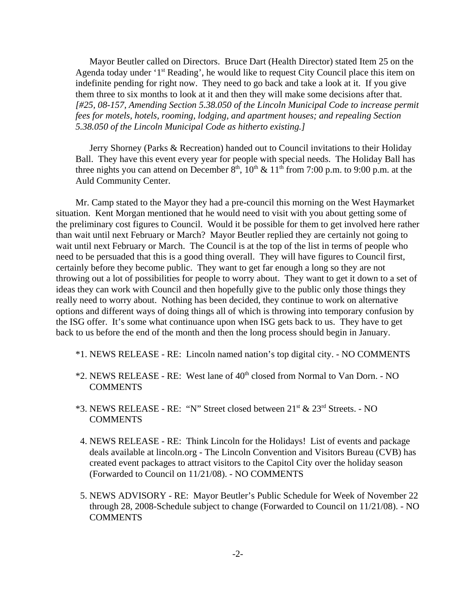Mayor Beutler called on Directors. Bruce Dart (Health Director) stated Item 25 on the Agenda today under '1<sup>st</sup> Reading', he would like to request City Council place this item on indefinite pending for right now. They need to go back and take a look at it. If you give them three to six months to look at it and then they will make some decisions after that. *[#25, 08-157, Amending Section 5.38.050 of the Lincoln Municipal Code to increase permit fees for motels, hotels, rooming, lodging, and apartment houses; and repealing Section 5.38.050 of the Lincoln Municipal Code as hitherto existing.]* 

Jerry Shorney (Parks & Recreation) handed out to Council invitations to their Holiday Ball. They have this event every year for people with special needs. The Holiday Ball has three nights you can attend on December  $8<sup>th</sup>$ ,  $10<sup>th</sup>$  &  $11<sup>th</sup>$  from 7:00 p.m. to 9:00 p.m. at the Auld Community Center.

Mr. Camp stated to the Mayor they had a pre-council this morning on the West Haymarket situation. Kent Morgan mentioned that he would need to visit with you about getting some of the preliminary cost figures to Council. Would it be possible for them to get involved here rather than wait until next February or March? Mayor Beutler replied they are certainly not going to wait until next February or March. The Council is at the top of the list in terms of people who need to be persuaded that this is a good thing overall. They will have figures to Council first, certainly before they become public. They want to get far enough a long so they are not throwing out a lot of possibilities for people to worry about. They want to get it down to a set of ideas they can work with Council and then hopefully give to the public only those things they really need to worry about. Nothing has been decided, they continue to work on alternative options and different ways of doing things all of which is throwing into temporary confusion by the ISG offer. It's some what continuance upon when ISG gets back to us. They have to get back to us before the end of the month and then the long process should begin in January.

- \*1. NEWS RELEASE RE: Lincoln named nation's top digital city. NO COMMENTS
- \*2. NEWS RELEASE RE: West lane of  $40<sup>th</sup>$  closed from Normal to Van Dorn. NO COMMENTS
- \*3. NEWS RELEASE RE: "N" Street closed between 21st & 23rd Streets. NO **COMMENTS**
- 4. NEWS RELEASE RE: Think Lincoln for the Holidays! List of events and package deals available at lincoln.org - The Lincoln Convention and Visitors Bureau (CVB) has created event packages to attract visitors to the Capitol City over the holiday season (Forwarded to Council on 11/21/08). - NO COMMENTS
- 5. NEWS ADVISORY RE: Mayor Beutler's Public Schedule for Week of November 22 through 28, 2008-Schedule subject to change (Forwarded to Council on 11/21/08). - NO **COMMENTS**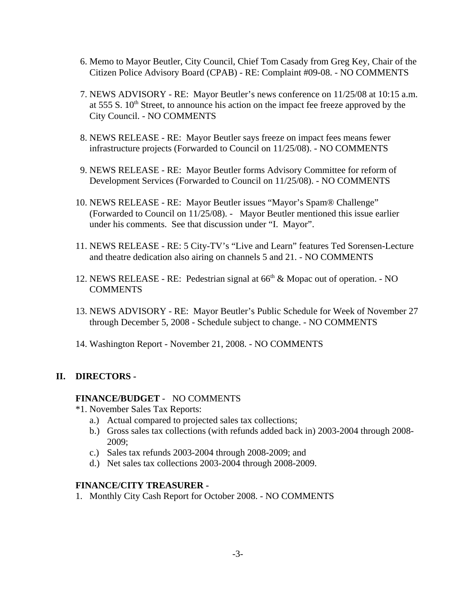- 6. Memo to Mayor Beutler, City Council, Chief Tom Casady from Greg Key, Chair of the Citizen Police Advisory Board (CPAB) - RE: Complaint #09-08. - NO COMMENTS
- 7. NEWS ADVISORY RE: Mayor Beutler's news conference on 11/25/08 at 10:15 a.m. at  $555 S$ .  $10<sup>th</sup>$  Street, to announce his action on the impact fee freeze approved by the City Council. - NO COMMENTS
- 8. NEWS RELEASE RE: Mayor Beutler says freeze on impact fees means fewer infrastructure projects (Forwarded to Council on 11/25/08). - NO COMMENTS
- 9. NEWS RELEASE RE: Mayor Beutler forms Advisory Committee for reform of Development Services (Forwarded to Council on 11/25/08). - NO COMMENTS
- 10. NEWS RELEASE RE: Mayor Beutler issues "Mayor's Spam® Challenge" (Forwarded to Council on 11/25/08). - Mayor Beutler mentioned this issue earlier under his comments. See that discussion under "I. Mayor".
- 11. NEWS RELEASE RE: 5 City-TV's "Live and Learn" features Ted Sorensen-Lecture and theatre dedication also airing on channels 5 and 21. - NO COMMENTS
- 12. NEWS RELEASE RE: Pedestrian signal at  $66<sup>th</sup>$  & Mopac out of operation. NO COMMENTS
- 13. NEWS ADVISORY RE: Mayor Beutler's Public Schedule for Week of November 27 through December 5, 2008 - Schedule subject to change. - NO COMMENTS
- 14. Washington Report November 21, 2008. NO COMMENTS

## **II. DIRECTORS -**

### **FINANCE/BUDGET** - NO COMMENTS

- \*1. November Sales Tax Reports:
	- a.) Actual compared to projected sales tax collections;
	- b.) Gross sales tax collections (with refunds added back in) 2003-2004 through 2008- 2009;
	- c.) Sales tax refunds 2003-2004 through 2008-2009; and
	- d.) Net sales tax collections 2003-2004 through 2008-2009.

### **FINANCE/CITY TREASURER -**

1. Monthly City Cash Report for October 2008. - NO COMMENTS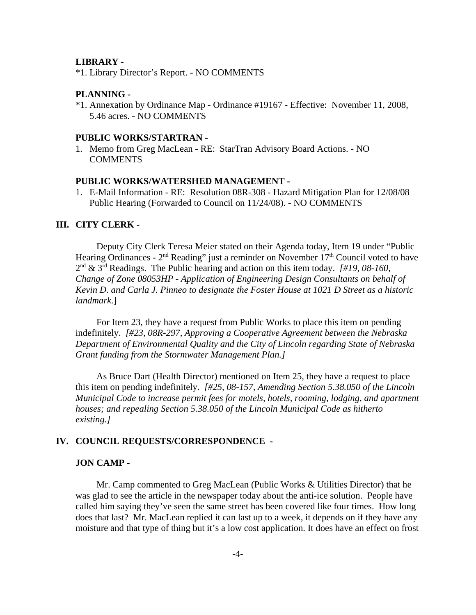#### **LIBRARY -**

\*1. Library Director's Report. - NO COMMENTS

### **PLANNING -**

\*1. Annexation by Ordinance Map - Ordinance #19167 - Effective: November 11, 2008, 5.46 acres. - NO COMMENTS

#### **PUBLIC WORKS/STARTRAN -**

1. Memo from Greg MacLean - RE: StarTran Advisory Board Actions. - NO **COMMENTS** 

#### **PUBLIC WORKS/WATERSHED MANAGEMENT -**

1. E-Mail Information - RE: Resolution 08R-308 - Hazard Mitigation Plan for 12/08/08 Public Hearing (Forwarded to Council on 11/24/08). - NO COMMENTS

#### **III. CITY CLERK -**

Deputy City Clerk Teresa Meier stated on their Agenda today, Item 19 under "Public Hearing Ordinances -  $2<sup>nd</sup>$  Reading" just a reminder on November  $17<sup>th</sup>$  Council voted to have 2nd & 3rd Readings. The Public hearing and action on this item today. *[#19, 08-160, Change of Zone 08053HP - Application of Engineering Design Consultants on behalf of Kevin D. and Carla J. Pinneo to designate the Foster House at 1021 D Street as a historic landmark.*]

For Item 23, they have a request from Public Works to place this item on pending indefinitely. *[#23, 08R-297, Approving a Cooperative Agreement between the Nebraska Department of Environmental Quality and the City of Lincoln regarding State of Nebraska Grant funding from the Stormwater Management Plan.]* 

As Bruce Dart (Health Director) mentioned on Item 25, they have a request to place this item on pending indefinitely. *[#25, 08-157, Amending Section 5.38.050 of the Lincoln Municipal Code to increase permit fees for motels, hotels, rooming, lodging, and apartment houses; and repealing Section 5.38.050 of the Lincoln Municipal Code as hitherto existing.]* 

### **IV. COUNCIL REQUESTS/CORRESPONDENCE -**

### **JON CAMP -**

Mr. Camp commented to Greg MacLean (Public Works & Utilities Director) that he was glad to see the article in the newspaper today about the anti-ice solution. People have called him saying they've seen the same street has been covered like four times. How long does that last? Mr. MacLean replied it can last up to a week, it depends on if they have any moisture and that type of thing but it's a low cost application. It does have an effect on frost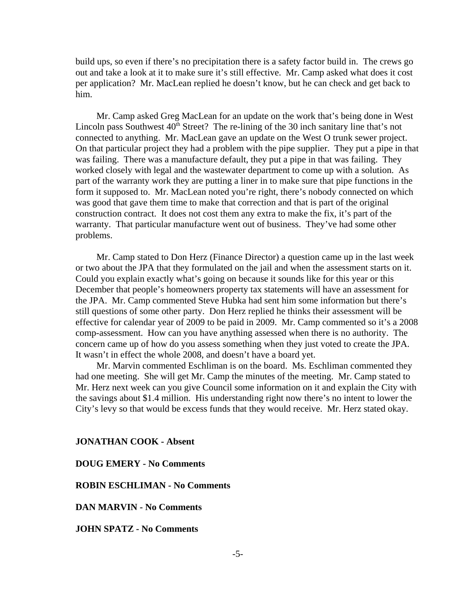build ups, so even if there's no precipitation there is a safety factor build in. The crews go out and take a look at it to make sure it's still effective. Mr. Camp asked what does it cost per application? Mr. MacLean replied he doesn't know, but he can check and get back to him.

Mr. Camp asked Greg MacLean for an update on the work that's being done in West Lincoln pass Southwest  $40<sup>th</sup>$  Street? The re-lining of the 30 inch sanitary line that's not connected to anything. Mr. MacLean gave an update on the West O trunk sewer project. On that particular project they had a problem with the pipe supplier. They put a pipe in that was failing. There was a manufacture default, they put a pipe in that was failing. They worked closely with legal and the wastewater department to come up with a solution. As part of the warranty work they are putting a liner in to make sure that pipe functions in the form it supposed to. Mr. MacLean noted you're right, there's nobody connected on which was good that gave them time to make that correction and that is part of the original construction contract. It does not cost them any extra to make the fix, it's part of the warranty. That particular manufacture went out of business. They've had some other problems.

Mr. Camp stated to Don Herz (Finance Director) a question came up in the last week or two about the JPA that they formulated on the jail and when the assessment starts on it. Could you explain exactly what's going on because it sounds like for this year or this December that people's homeowners property tax statements will have an assessment for the JPA. Mr. Camp commented Steve Hubka had sent him some information but there's still questions of some other party. Don Herz replied he thinks their assessment will be effective for calendar year of 2009 to be paid in 2009. Mr. Camp commented so it's a 2008 comp-assessment. How can you have anything assessed when there is no authority. The concern came up of how do you assess something when they just voted to create the JPA. It wasn't in effect the whole 2008, and doesn't have a board yet.

Mr. Marvin commented Eschliman is on the board. Ms. Eschliman commented they had one meeting. She will get Mr. Camp the minutes of the meeting. Mr. Camp stated to Mr. Herz next week can you give Council some information on it and explain the City with the savings about \$1.4 million. His understanding right now there's no intent to lower the City's levy so that would be excess funds that they would receive. Mr. Herz stated okay.

### **JONATHAN COOK - Absent**

**DOUG EMERY - No Comments**

**ROBIN ESCHLIMAN - No Comments**

**DAN MARVIN - No Comments**

**JOHN SPATZ - No Comments**